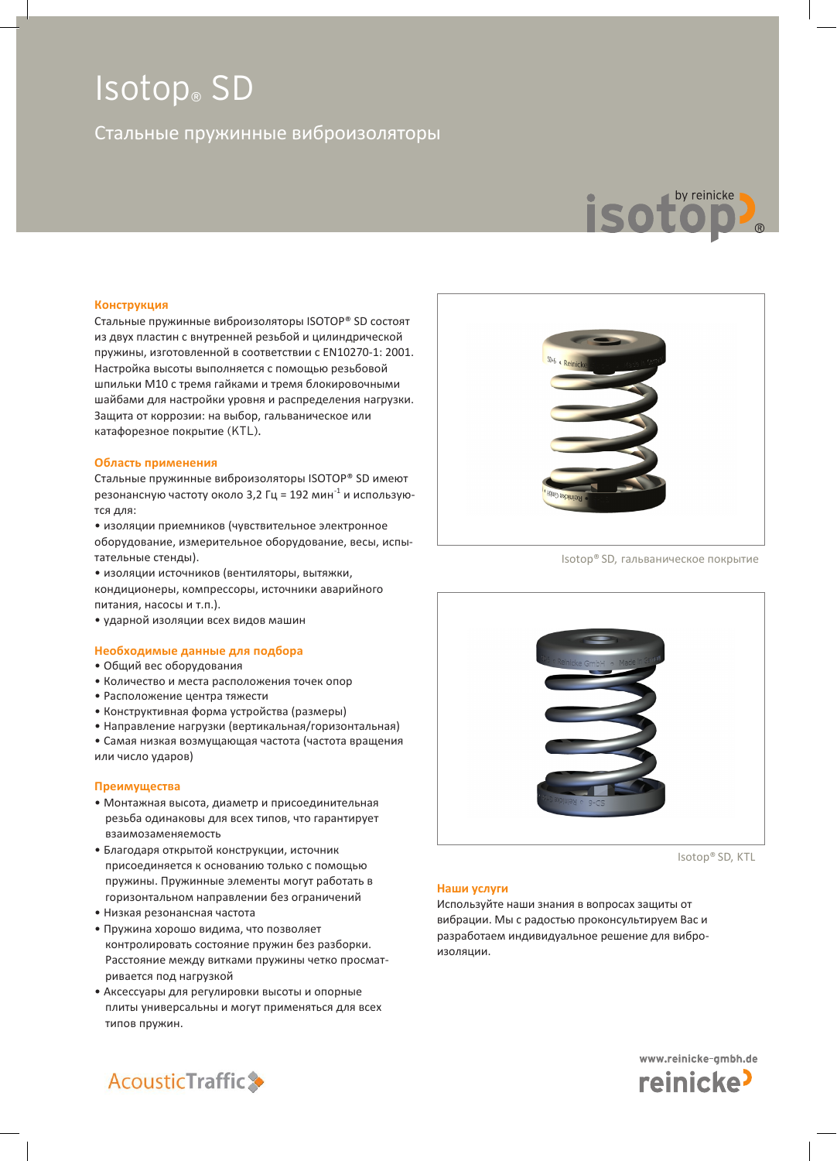# Стальные пружинные виброизоляторы



#### **Конструкция**

Стальные пружинные виброизоляторы ISOTOP® SD состоят из двух пластин с внутренней резьбой и цилиндрической пружины, изготовленной в соответствии с EN10270-1: 2001. Настройка высоты выполняется с помощью резьбовой шпильки М10 с тремя гайками и тремя блокировочными шайбами для настройки уровня и распределения нагрузки. Защита от коррозии: на выбор, гальваническое или катафорезное покрытие (KTL).

### **Область применения**

Стальные пружинные виброизоляторы ISOTOP® SD имеют резонансную частоту около 3,2 Гц = 192 мин<sup>-1</sup> и используются для:

• изоляции приемников (чувствительное электронное оборудование, измерительное оборудование, весы, испытательные стенды).

• изоляции источников (вентиляторы, вытяжки, кондиционеры, компрессоры, источники аварийного питания, насосы и т.п.).

• ударной изоляции всех видов машин

### **Необходимые данные для подбора**

- Общий вес оборудования
- Количество и места расположения точек опор
- Расположение центра тяжести
- Конструктивная форма устройства (размеры)
- Направление нагрузки (вертикальная/горизонтальная)
- Самая низкая возмущающая частота (частота вращения или число ударов)

# **Преимущества**

- Монтажная высота, диаметр и присоединительная резьба одинаковы для всех типов, что гарантирует взаимозаменяемость
- Благодаря открытой конструкции, источник присоединяется к основанию только с помощью пружины. Пружинные элементы могут работать в горизонтальном направлении без ограничений
- Низкая резонансная частота
- Пружина хорошо видима, что позволяет контролировать состояние пружин без разборки. Расстояние между витками пружины четко просматривается под нагрузкой
- Аксессуары для регулировки высоты и опорные плиты универсальны и могут применяться для всех типов пружин.



Isotop® SD, гальваническое покрытие



Isotop® SD, KTL

#### **Наши услуги**

Используйте наши знания в вопросах защиты от вибрации. Мы с радостью проконсультируем Вас и разработаем индивидуальное решение для виброизоляции.



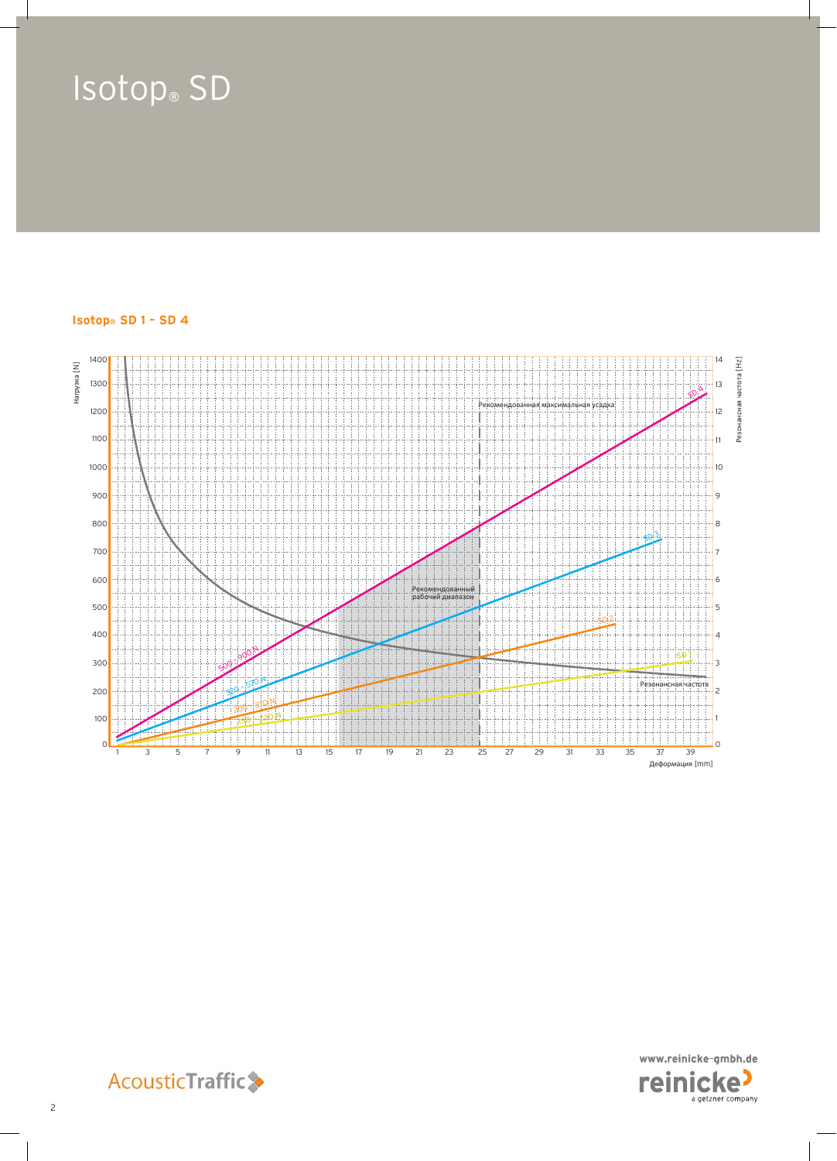# **Isotop® SD 1 – SD 4**





**AcousticTraffic**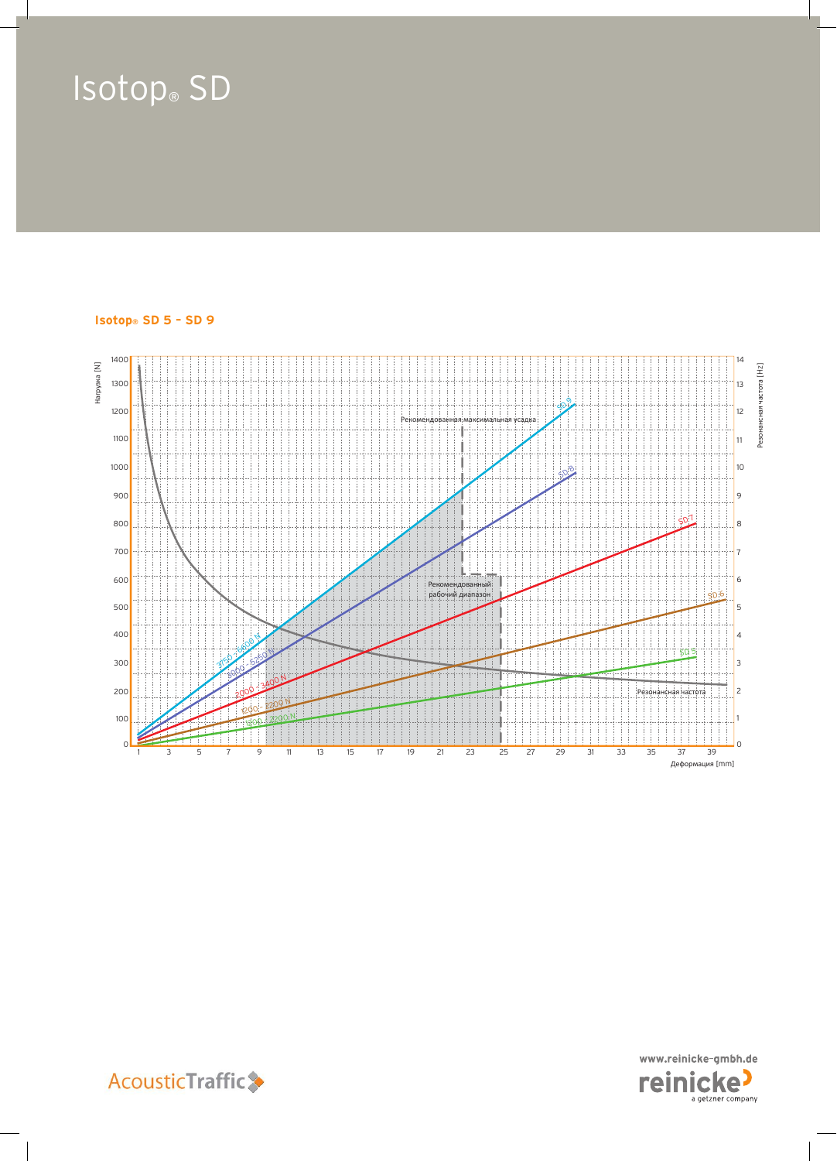# **Isotop® SD 5 – SD 9**





**AcousticTraffic**